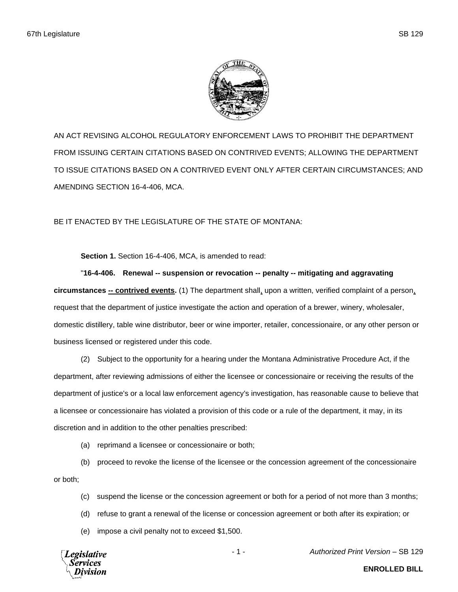

AN ACT REVISING ALCOHOL REGULATORY ENFORCEMENT LAWS TO PROHIBIT THE DEPARTMENT FROM ISSUING CERTAIN CITATIONS BASED ON CONTRIVED EVENTS; ALLOWING THE DEPARTMENT TO ISSUE CITATIONS BASED ON A CONTRIVED EVENT ONLY AFTER CERTAIN CIRCUMSTANCES; AND AMENDING SECTION 16-4-406, MCA.

BE IT ENACTED BY THE LEGISLATURE OF THE STATE OF MONTANA:

**Section 1.** Section 16-4-406, MCA, is amended to read:

"**16-4-406. Renewal -- suspension or revocation -- penalty -- mitigating and aggravating circumstances -- contrived events.** (1) The department shall, upon a written, verified complaint of a person, request that the department of justice investigate the action and operation of a brewer, winery, wholesaler, domestic distillery, table wine distributor, beer or wine importer, retailer, concessionaire, or any other person or business licensed or registered under this code.

(2) Subject to the opportunity for a hearing under the Montana Administrative Procedure Act, if the department, after reviewing admissions of either the licensee or concessionaire or receiving the results of the department of justice's or a local law enforcement agency's investigation, has reasonable cause to believe that a licensee or concessionaire has violated a provision of this code or a rule of the department, it may, in its discretion and in addition to the other penalties prescribed:

(a) reprimand a licensee or concessionaire or both;

(b) proceed to revoke the license of the licensee or the concession agreement of the concessionaire or both;

- (c) suspend the license or the concession agreement or both for a period of not more than 3 months;
- (d) refuse to grant a renewal of the license or concession agreement or both after its expiration; or
- (e) impose a civil penalty not to exceed \$1,500.

Legislative

- 1 - *Authorized Print Version* – SB 129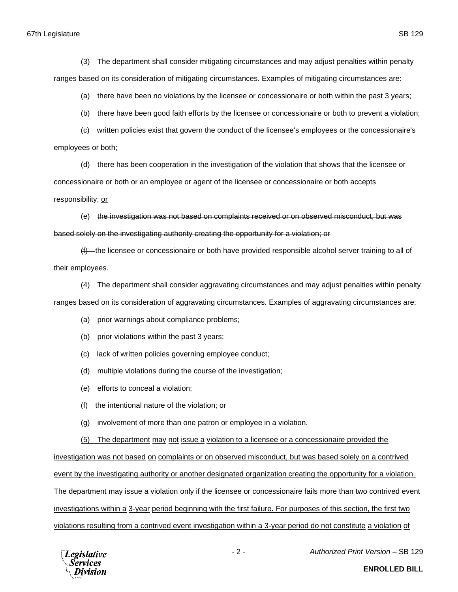67th Legislature SB 129

(3) The department shall consider mitigating circumstances and may adjust penalties within penalty ranges based on its consideration of mitigating circumstances. Examples of mitigating circumstances are:

(a) there have been no violations by the licensee or concessionaire or both within the past 3 years;

(b) there have been good faith efforts by the licensee or concessionaire or both to prevent a violation;

(c) written policies exist that govern the conduct of the licensee's employees or the concessionaire's employees or both;

(d) there has been cooperation in the investigation of the violation that shows that the licensee or concessionaire or both or an employee or agent of the licensee or concessionaire or both accepts responsibility; or

(e) the investigation was not based on complaints received or on observed misconduct, but was based solely on the investigating authority creating the opportunity for a violation; or

 $(f)$ —the licensee or concessionaire or both have provided responsible alcohol server training to all of their employees.

(4) The department shall consider aggravating circumstances and may adjust penalties within penalty ranges based on its consideration of aggravating circumstances. Examples of aggravating circumstances are:

- (a) prior warnings about compliance problems;
- (b) prior violations within the past 3 years;
- (c) lack of written policies governing employee conduct;
- (d) multiple violations during the course of the investigation;
- (e) efforts to conceal a violation;
- (f) the intentional nature of the violation; or
- (g) involvement of more than one patron or employee in a violation.

(5) The department may not issue a violation to a licensee or a concessionaire provided the

investigation was not based on complaints or on observed misconduct, but was based solely on a contrived event by the investigating authority or another designated organization creating the opportunity for a violation. The department may issue a violation only if the licensee or concessionaire fails more than two contrived event investigations within a 3-year period beginning with the first failure. For purposes of this section, the first two violations resulting from a contrived event investigation within a 3-year period do not constitute a violation of



- 2 - *Authorized Print Version* – SB 129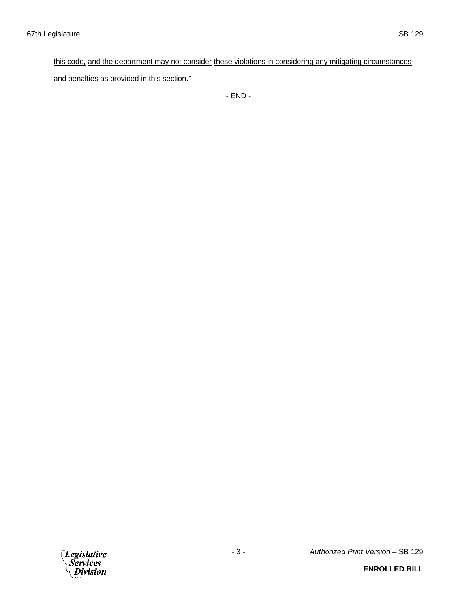## this code, and the department may not consider these violations in considering any mitigating circumstances

and penalties as provided in this section."

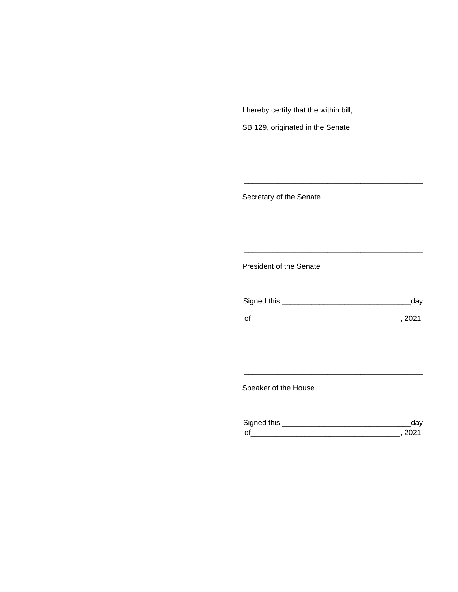I hereby certify that the within bill,

SB 129, originated in the Senate.

Secretary of the Senate

President of the Senate

| Signed this |        |
|-------------|--------|
|             |        |
| $\Omega$    | 111111 |

\_\_\_\_\_\_\_\_\_\_\_\_\_\_\_\_\_\_\_\_\_\_\_\_\_\_\_\_\_\_\_\_\_\_\_\_\_\_\_\_\_\_\_

\_\_\_\_\_\_\_\_\_\_\_\_\_\_\_\_\_\_\_\_\_\_\_\_\_\_\_\_\_\_\_\_\_\_\_\_\_\_\_\_\_\_\_

Speaker of the House

| Sianed this |  |
|-------------|--|
| $\Omega$    |  |

\_\_\_\_\_\_\_\_\_\_\_\_\_\_\_\_\_\_\_\_\_\_\_\_\_\_\_\_\_\_\_\_\_\_\_\_\_\_\_\_\_\_\_